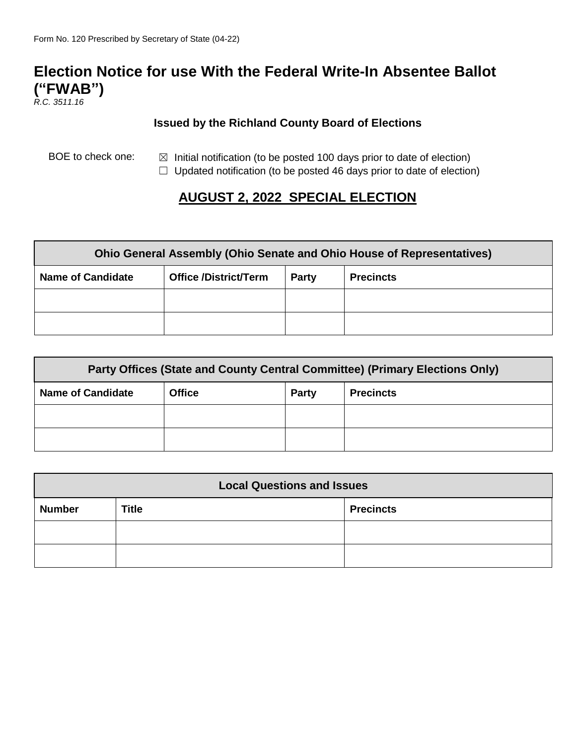# **Election Notice for use With the Federal Write-In Absentee Ballot ("FWAB")**

*R.C. 3511.16*

#### **Issued by the Richland County Board of Elections**

BOE to check one:  $\boxtimes$  Initial notification (to be posted 100 days prior to date of election)

 $\Box$  Updated notification (to be posted 46 days prior to date of election)

## **AUGUST 2, 2022 SPECIAL ELECTION**

| <b>Ohio General Assembly (Ohio Senate and Ohio House of Representatives)</b> |                              |       |                  |  |  |
|------------------------------------------------------------------------------|------------------------------|-------|------------------|--|--|
| <b>Name of Candidate</b>                                                     | <b>Office /District/Term</b> | Party | <b>Precincts</b> |  |  |
|                                                                              |                              |       |                  |  |  |
|                                                                              |                              |       |                  |  |  |

| Party Offices (State and County Central Committee) (Primary Elections Only) |               |              |                  |  |  |
|-----------------------------------------------------------------------------|---------------|--------------|------------------|--|--|
| <b>Name of Candidate</b>                                                    | <b>Office</b> | <b>Party</b> | <b>Precincts</b> |  |  |
|                                                                             |               |              |                  |  |  |
|                                                                             |               |              |                  |  |  |

| <b>Local Questions and Issues</b> |              |                  |  |  |  |
|-----------------------------------|--------------|------------------|--|--|--|
| <b>Number</b>                     | <b>Title</b> | <b>Precincts</b> |  |  |  |
|                                   |              |                  |  |  |  |
|                                   |              |                  |  |  |  |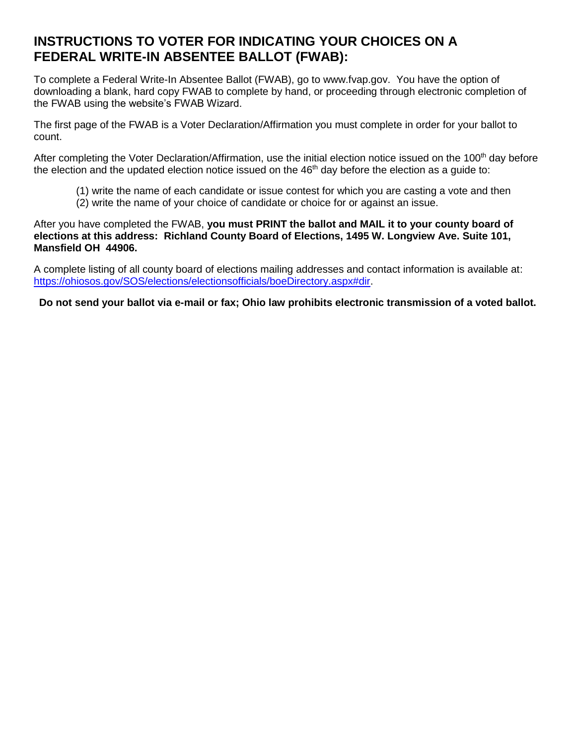### **INSTRUCTIONS TO VOTER FOR INDICATING YOUR CHOICES ON A FEDERAL WRITE-IN ABSENTEE BALLOT (FWAB):**

To complete a Federal Write-In Absentee Ballot (FWAB), go to [www.fvap.gov.](http://www.fvap.gov/) You have the option of downloading a blank, hard copy FWAB to complete by hand, or proceeding through electronic completion of the FWAB using the website's FWAB Wizard.

The first page of the FWAB is a Voter Declaration/Affirmation you must complete in order for your ballot to count.

After completing the Voter Declaration/Affirmation, use the initial election notice issued on the 100<sup>th</sup> day before the election and the updated election notice issued on the  $46<sup>th</sup>$  day before the election as a guide to:

- (1) write the name of each candidate or issue contest for which you are casting a vote and then
- (2) write the name of your choice of candidate or choice for or against an issue.

After you have completed the FWAB, **you must PRINT the ballot and MAIL it to your county board of elections at this address: Richland County Board of Elections, 1495 W. Longview Ave. Suite 101, Mansfield OH 44906.** 

A complete listing of all county board of elections mailing addresses and contact information is available at: [https://ohiosos.gov/SOS/elections/electionsofficials/boeDirectory.aspx#dir.](https://ohiosos.gov/SOS/elections/electionsofficials/boeDirectory.aspx#dir)

**Do not send your ballot via e-mail or fax; Ohio law prohibits electronic transmission of a voted ballot.**